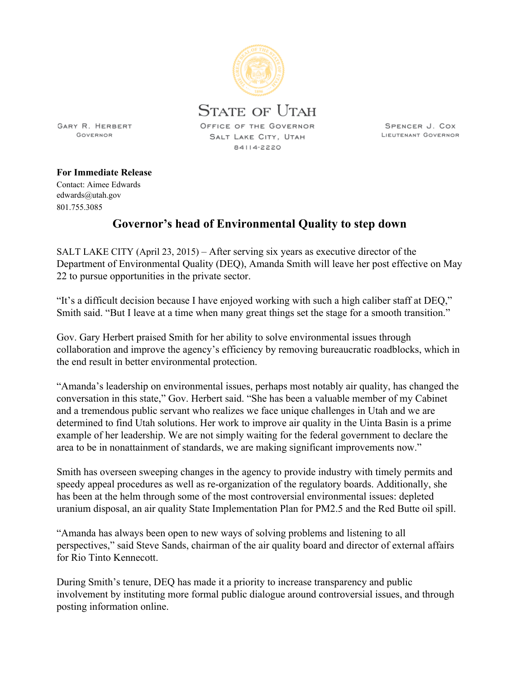

SPENCER J. COX LIEUTENANT GOVERNOR

GOVERNOR

**GARY R. HERBERT** 

**For Immediate Release**

Contact: Aimee Edwards edwards@utah.gov 801.755.3085

## **Governor's head of Environmental Quality to step down**

SALT LAKE CITY (April 23, 2015) – After serving six years as executive director of the Department of Environmental Quality (DEQ), Amanda Smith will leave her post effective on May 22 to pursue opportunities in the private sector.

"It's a difficult decision because I have enjoyed working with such a high caliber staff at DEQ," Smith said. "But I leave at a time when many great things set the stage for a smooth transition."

Gov. Gary Herbert praised Smith for her ability to solve environmental issues through collaboration and improve the agency's efficiency by removing bureaucratic roadblocks, which in the end result in better environmental protection.

"Amanda's leadership on environmental issues, perhaps most notably air quality, has changed the conversation in this state," Gov. Herbert said. "She has been a valuable member of my Cabinet and a tremendous public servant who realizes we face unique challenges in Utah and we are determined to find Utah solutions. Her work to improve air quality in the Uinta Basin is a prime example of her leadership. We are not simply waiting for the federal government to declare the area to be in nonattainment of standards, we are making significant improvements now."

Smith has overseen sweeping changes in the agency to provide industry with timely permits and speedy appeal procedures as well as re-organization of the regulatory boards. Additionally, she has been at the helm through some of the most controversial environmental issues: depleted uranium disposal, an air quality State Implementation Plan for PM2.5 and the Red Butte oil spill.

"Amanda has always been open to new ways of solving problems and listening to all perspectives," said Steve Sands, chairman of the air quality board and director of external affairs for Rio Tinto Kennecott.

During Smith's tenure, DEQ has made it a priority to increase transparency and public involvement by instituting more formal public dialogue around controversial issues, and through posting information online.